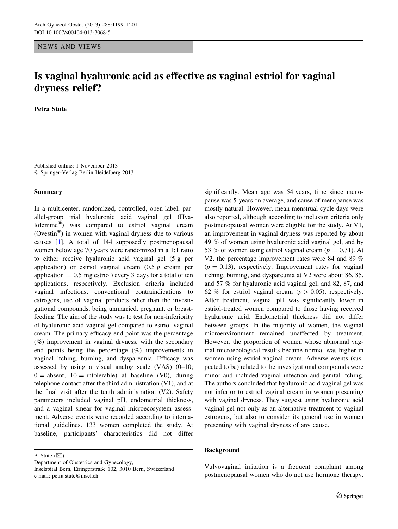### NEWS AND VIEWS

# Is vaginal hyaluronic acid as effective as vaginal estriol for vaginal dryness relief?

Petra Stute

Published online: 1 November 2013 - Springer-Verlag Berlin Heidelberg 2013

### Summary

In a multicenter, randomized, controlled, open-label, parallel-group trial hyaluronic acid vaginal gel (Hyalofemme) was compared to estriol vaginal cream (Ovestin $^{\circledR}$ ) in women with vaginal dryness due to various causes [\[1](#page-2-0)]. A total of 144 supposedly postmenopausal women below age 70 years were randomized in a 1:1 ratio to either receive hyaluronic acid vaginal gel (5 g per application) or estriol vaginal cream (0.5 g cream per application  $= 0.5$  mg estriol) every 3 days for a total of ten applications, respectively. Exclusion criteria included vaginal infections, conventional contraindications to estrogens, use of vaginal products other than the investigational compounds, being unmarried, pregnant, or breastfeeding. The aim of the study was to test for non-inferiority of hyaluronic acid vaginal gel compared to estriol vaginal cream. The primary efficacy end point was the percentage (%) improvement in vaginal dryness, with the secondary end points being the percentage (%) improvements in vaginal itching, burning, and dyspareunia. Efficacy was assessed by using a visual analog scale (VAS) (0–10;  $0 =$  absent,  $10 =$  intolerable) at baseline (V0), during telephone contact after the third administration (V1), and at the final visit after the tenth administration (V2). Safety parameters included vaginal pH, endometrial thickness, and a vaginal smear for vaginal microecosystem assessment. Adverse events were recorded according to international guidelines. 133 women completed the study. At baseline, participants' characteristics did not differ

P. Stute  $(\boxtimes)$ 

Department of Obstetrics and Gynecology,

significantly. Mean age was 54 years, time since menopause was 5 years on average, and cause of menopause was mostly natural. However, mean menstrual cycle days were also reported, although according to inclusion criteria only postmenopausal women were eligible for the study. At V1, an improvement in vaginal dryness was reported by about 49 % of women using hyaluronic acid vaginal gel, and by 53 % of women using estriol vaginal cream ( $p = 0.31$ ). At V2, the percentage improvement rates were 84 and 89 %  $(p = 0.13)$ , respectively. Improvement rates for vaginal itching, burning, and dyspareunia at V2 were about 86, 85, and 57 % for hyaluronic acid vaginal gel, and 82, 87, and 62 % for estriol vaginal cream ( $p > 0.05$ ), respectively. After treatment, vaginal pH was significantly lower in estriol-treated women compared to those having received hyaluronic acid. Endometrial thickness did not differ between groups. In the majority of women, the vaginal microenvironment remained unaffected by treatment. However, the proportion of women whose abnormal vaginal microecological results became normal was higher in women using estriol vaginal cream. Adverse events (suspected to be) related to the investigational compounds were minor and included vaginal infection and genital itching. The authors concluded that hyaluronic acid vaginal gel was not inferior to estriol vaginal cream in women presenting with vaginal dryness. They suggest using hyaluronic acid vaginal gel not only as an alternative treatment to vaginal estrogens, but also to consider its general use in women presenting with vaginal dryness of any cause.

# Background

Vulvovaginal irritation is a frequent complaint among postmenopausal women who do not use hormone therapy.

Inselspital Bern, Effingerstraße 102, 3010 Bern, Switzerland e-mail: petra.stute@insel.ch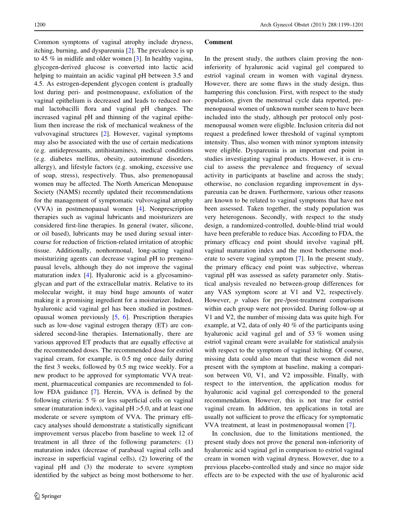Common symptoms of vaginal atrophy include dryness, itching, burning, and dyspareunia [[2\]](#page-2-0). The prevalence is up to 45 % in midlife and older women [\[3](#page-2-0)]. In healthy vagina, glycogen-derived glucose is converted into lactic acid helping to maintain an acidic vaginal pH between 3.5 and 4.5. As estrogen-dependent glycogen content is gradually lost during peri- and postmenopause, exfoliation of the vaginal epithelium is decreased and leads to reduced normal lactobacilli flora and vaginal pH changes. The increased vaginal pH and thinning of the vaginal epithelium then increase the risk of mechanical weakness of the vulvovaginal structures [[2\]](#page-2-0). However, vaginal symptoms may also be associated with the use of certain medications (e.g. antidepressants, antihistamines), medical conditions (e.g. diabetes mellitus, obesity, autoimmune disorders, allergy), and lifestyle factors (e.g. smoking, excessive use of soap, stress), respectively. Thus, also premenopausal women may be affected. The North American Menopause Society (NAMS) recently updated their recommendations for the management of symptomatic vulvovaginal atrophy (VVA) in postmenopausal women [\[4](#page-2-0)]. Nonprescription therapies such as vaginal lubricants and moisturizers are considered first-line therapies. In general (water, silicone, or oil based), lubricants may be used during sexual intercourse for reduction of friction-related irritation of atrophic tissue. Additionally, nonhormonal, long-acting vaginal moisturizing agents can decrease vaginal pH to premenopausal levels, although they do not improve the vaginal maturation index [[4\]](#page-2-0). Hyaluronic acid is a glycosaminoglycan and part of the extracellular matrix. Relative to its molecular weight, it may bind huge amounts of water making it a promising ingredient for a moisturizer. Indeed, hyaluronic acid vaginal gel has been studied in postmenopausal women previously [\[5](#page-2-0), [6\]](#page-2-0). Prescription therapies such as low-dose vaginal estrogen therapy (ET) are considered second-line therapies. Internationally, there are various approved ET products that are equally effective at the recommended doses. The recommended dose for estriol vaginal cream, for example, is 0.5 mg once daily during the first 3 weeks, followed by 0.5 mg twice weekly. For a new product to be approved for symptomatic VVA treatment, pharmaceutical companies are recommended to follow FDA guidance [[7\]](#page-2-0). Herein, VVA is defined by the following criteria: 5 % or less superficial cells on vaginal smear (maturation index), vaginal  $pH > 5.0$ , and at least one moderate or severe symptom of VVA. The primary efficacy analyses should demonstrate a statistically significant improvement versus placebo from baseline to week 12 of treatment in all three of the following parameters: (1) maturation index (decrease of parabasal vaginal cells and increase in superficial vaginal cells), (2) lowering of the vaginal pH and (3) the moderate to severe symptom identified by the subject as being most bothersome to her.

#### Comment

In the present study, the authors claim proving the noninferiority of hyaluronic acid vaginal gel compared to estriol vaginal cream in women with vaginal dryness. However, there are some flaws in the study design, thus hampering this conclusion. First, with respect to the study population, given the menstrual cycle data reported, premenopausal women of unknown number seem to have been included into the study, although per protocol only postmenopausal women were eligible. Inclusion criteria did not request a predefined lower threshold of vaginal symptom intensity. Thus, also women with minor symptom intensity were eligible. Dyspareunia is an important end point in studies investigating vaginal products. However, it is crucial to assess the prevalence and frequency of sexual activity in participants at baseline and across the study; otherwise, no conclusion regarding improvement in dyspareunia can be drawn. Furthermore, various other reasons are known to be related to vaginal symptoms that have not been assessed. Taken together, the study population was very heterogenous. Secondly, with respect to the study design, a randomized-controlled, double-blind trial would have been preferable to reduce bias. According to FDA, the primary efficacy end point should involve vaginal pH, vaginal maturation index and the most bothersome moderate to severe vaginal symptom [\[7](#page-2-0)]. In the present study, the primary efficacy end point was subjective, whereas vaginal pH was assessed as safety parameter only. Statistical analysis revealed no between-group differences for any VAS symptom score at V1 and V2, respectively. However, p values for pre-/post-treatment comparisons within each group were not provided. During follow-up at V1 and V2, the number of missing data was quite high. For example, at V2, data of only 40 % of the participants using hyaluronic acid vaginal gel and of 53 % women using estriol vaginal cream were available for statistical analysis with respect to the symptom of vaginal itching. Of course, missing data could also mean that these women did not present with the symptom at baseline, making a comparison between V0, V1, and V2 impossible. Finally, with respect to the intervention, the application modus for hyaluronic acid vaginal gel corresponded to the general recommendation. However, this is not true for estriol vaginal cream. In addition, ten applications in total are usually not sufficient to prove the efficacy for symptomatic VVA treatment, at least in postmenopausal women [\[7](#page-2-0)].

In conclusion, due to the limitations mentioned, the present study does not prove the general non-inferiority of hyaluronic acid vaginal gel in comparison to estriol vaginal cream in women with vaginal dryness. However, due to a previous placebo-controlled study and since no major side effects are to be expected with the use of hyaluronic acid